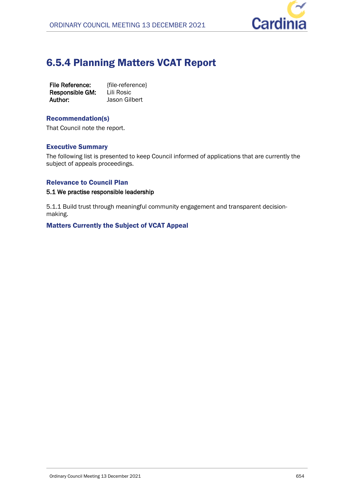

# 6.5.4 Planning Matters VCAT Report

| <b>File Reference:</b> | {file-reference} |
|------------------------|------------------|
| Responsible GM:        | Lili Rosic       |
| Author:                | Jason Gilbert    |

## Recommendation(s)

That Council note the report.

## Executive Summary

The following list is presented to keep Council informed of applications that are currently the subject of appeals proceedings.

## Relevance to Council Plan

#### **5.1 We practise responsible leadership**

5.1.1 Build trust through meaningful community engagement and transparent decisionmaking.

## Matters Currently the Subject of VCAT Appeal